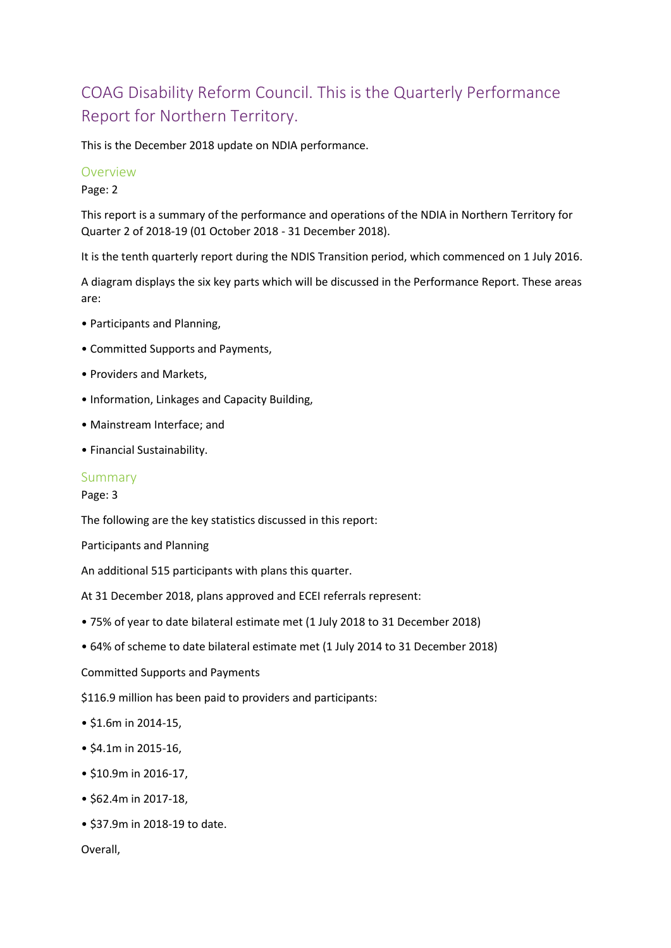# COAG Disability Reform Council. This is the Quarterly Performance Report for Northern Territory.

This is the December 2018 update on NDIA performance.

### Overview

Page: 2

This report is a summary of the performance and operations of the NDIA in Northern Territory for Quarter 2 of 2018-19 (01 October 2018 - 31 December 2018).

It is the tenth quarterly report during the NDIS Transition period, which commenced on 1 July 2016.

A diagram displays the six key parts which will be discussed in the Performance Report. These areas are:

- Participants and Planning,
- Committed Supports and Payments,
- Providers and Markets,
- Information, Linkages and Capacity Building,
- Mainstream Interface; and
- Financial Sustainability.

#### Summary

Page: 3

The following are the key statistics discussed in this report:

Participants and Planning

An additional 515 participants with plans this quarter.

At 31 December 2018, plans approved and ECEI referrals represent:

- 75% of year to date bilateral estimate met (1 July 2018 to 31 December 2018)
- 64% of scheme to date bilateral estimate met (1 July 2014 to 31 December 2018)

Committed Supports and Payments

\$116.9 million has been paid to providers and participants:

- \$1.6m in 2014-15,
- \$4.1m in 2015-16,
- \$10.9m in 2016-17,
- \$62.4m in 2017-18,
- \$37.9m in 2018-19 to date.

Overall,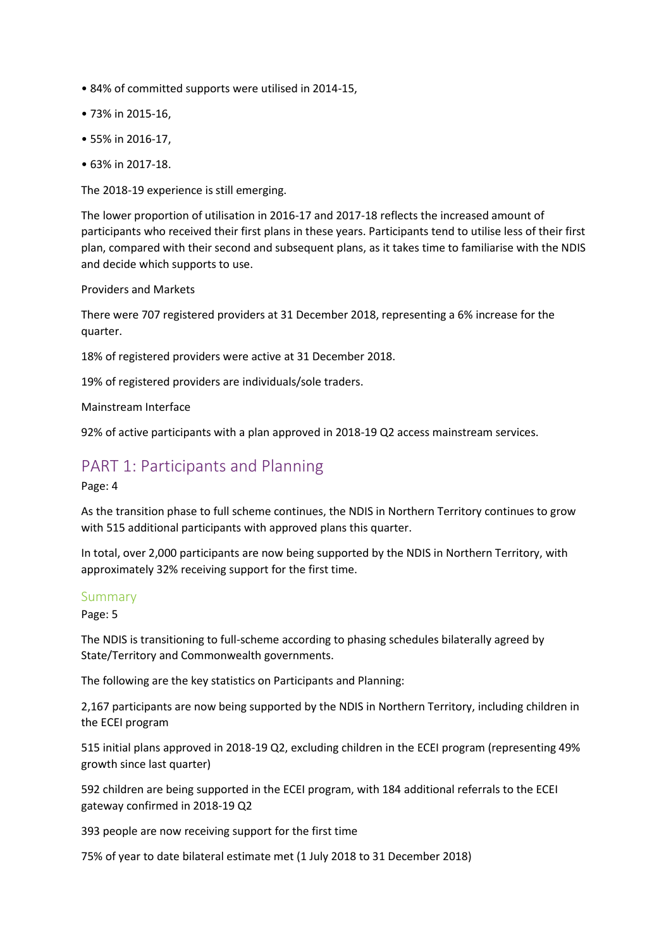- 84% of committed supports were utilised in 2014-15,
- 73% in 2015-16,
- 55% in 2016-17,
- 63% in 2017-18.

The 2018-19 experience is still emerging.

The lower proportion of utilisation in 2016-17 and 2017-18 reflects the increased amount of participants who received their first plans in these years. Participants tend to utilise less of their first plan, compared with their second and subsequent plans, as it takes time to familiarise with the NDIS and decide which supports to use.

### Providers and Markets

There were 707 registered providers at 31 December 2018, representing a 6% increase for the quarter.

18% of registered providers were active at 31 December 2018.

19% of registered providers are individuals/sole traders.

Mainstream Interface

92% of active participants with a plan approved in 2018-19 Q2 access mainstream services.

# PART 1: Participants and Planning

Page: 4

As the transition phase to full scheme continues, the NDIS in Northern Territory continues to grow with 515 additional participants with approved plans this quarter.

In total, over 2,000 participants are now being supported by the NDIS in Northern Territory, with approximately 32% receiving support for the first time.

### Summary

Page: 5

The NDIS is transitioning to full-scheme according to phasing schedules bilaterally agreed by State/Territory and Commonwealth governments.

The following are the key statistics on Participants and Planning:

2,167 participants are now being supported by the NDIS in Northern Territory, including children in the ECEI program

515 initial plans approved in 2018-19 Q2, excluding children in the ECEI program (representing 49% growth since last quarter)

592 children are being supported in the ECEI program, with 184 additional referrals to the ECEI gateway confirmed in 2018-19 Q2

393 people are now receiving support for the first time

75% of year to date bilateral estimate met (1 July 2018 to 31 December 2018)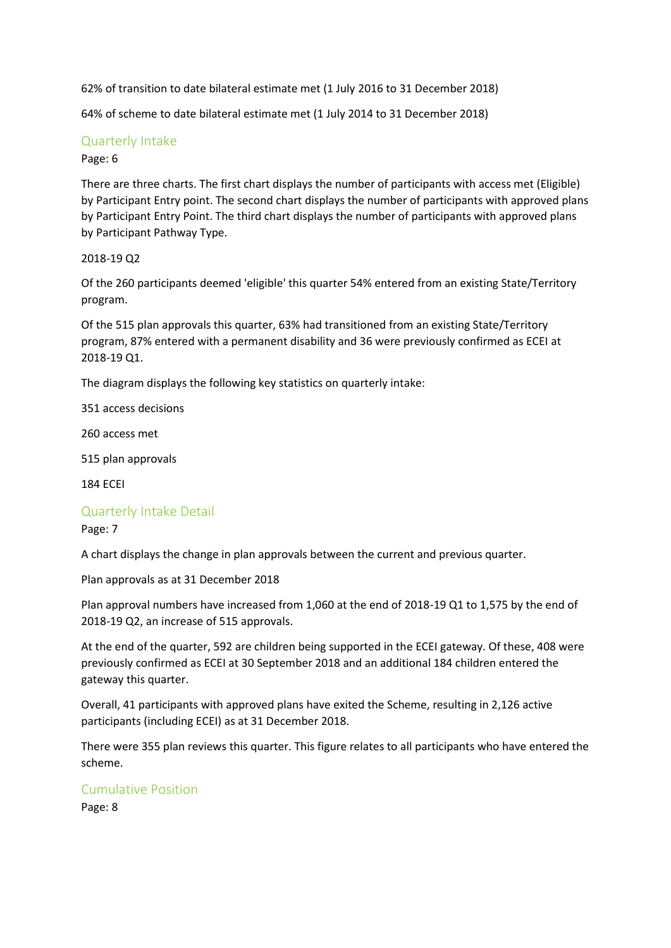62% of transition to date bilateral estimate met (1 July 2016 to 31 December 2018)

64% of scheme to date bilateral estimate met (1 July 2014 to 31 December 2018)

# Quarterly Intake

### Page: 6

There are three charts. The first chart displays the number of participants with access met (Eligible) by Participant Entry point. The second chart displays the number of participants with approved plans by Participant Entry Point. The third chart displays the number of participants with approved plans by Participant Pathway Type.

### 2018-19 Q2

Of the 260 participants deemed 'eligible' this quarter 54% entered from an existing State/Territory program.

Of the 515 plan approvals this quarter, 63% had transitioned from an existing State/Territory program, 87% entered with a permanent disability and 36 were previously confirmed as ECEI at 2018-19 Q1.

The diagram displays the following key statistics on quarterly intake:

351 access decisions

260 access met

515 plan approvals

184 ECEI

### Quarterly Intake Detail

### Page: 7

A chart displays the change in plan approvals between the current and previous quarter.

Plan approvals as at 31 December 2018

Plan approval numbers have increased from 1,060 at the end of 2018-19 Q1 to 1,575 by the end of 2018-19 Q2, an increase of 515 approvals.

At the end of the quarter, 592 are children being supported in the ECEI gateway. Of these, 408 were previously confirmed as ECEI at 30 September 2018 and an additional 184 children entered the gateway this quarter.

Overall, 41 participants with approved plans have exited the Scheme, resulting in 2,126 active participants (including ECEI) as at 31 December 2018.

There were 355 plan reviews this quarter. This figure relates to all participants who have entered the scheme.

# Cumulative Position

Page: 8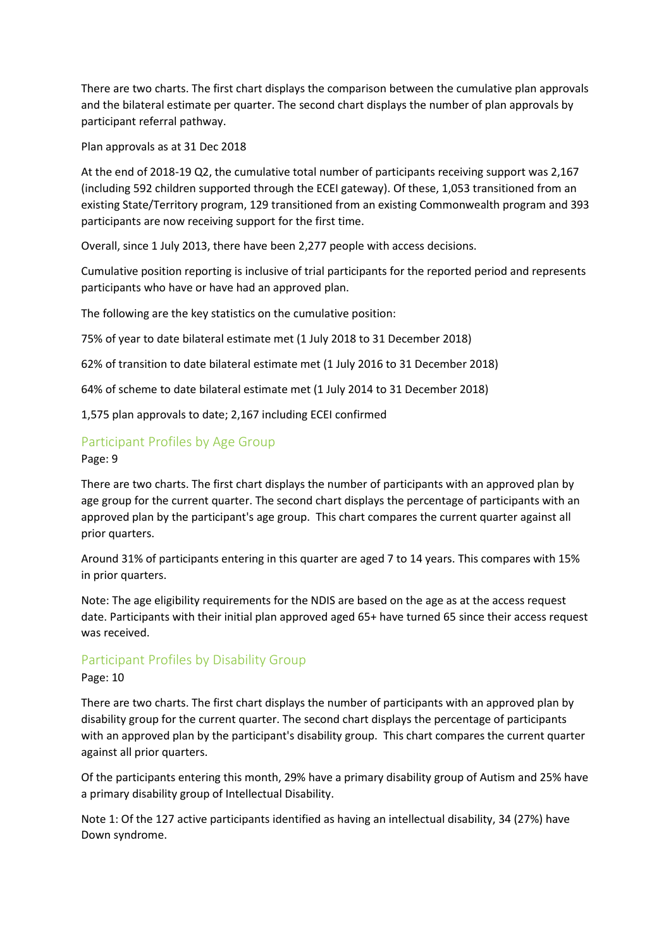There are two charts. The first chart displays the comparison between the cumulative plan approvals and the bilateral estimate per quarter. The second chart displays the number of plan approvals by participant referral pathway.

Plan approvals as at 31 Dec 2018

At the end of 2018-19 Q2, the cumulative total number of participants receiving support was 2,167 (including 592 children supported through the ECEI gateway). Of these, 1,053 transitioned from an existing State/Territory program, 129 transitioned from an existing Commonwealth program and 393 participants are now receiving support for the first time.

Overall, since 1 July 2013, there have been 2,277 people with access decisions.

Cumulative position reporting is inclusive of trial participants for the reported period and represents participants who have or have had an approved plan.

The following are the key statistics on the cumulative position:

75% of year to date bilateral estimate met (1 July 2018 to 31 December 2018)

62% of transition to date bilateral estimate met (1 July 2016 to 31 December 2018)

64% of scheme to date bilateral estimate met (1 July 2014 to 31 December 2018)

1,575 plan approvals to date; 2,167 including ECEI confirmed

# Participant Profiles by Age Group

Page: 9

There are two charts. The first chart displays the number of participants with an approved plan by age group for the current quarter. The second chart displays the percentage of participants with an approved plan by the participant's age group. This chart compares the current quarter against all prior quarters.

Around 31% of participants entering in this quarter are aged 7 to 14 years. This compares with 15% in prior quarters.

Note: The age eligibility requirements for the NDIS are based on the age as at the access request date. Participants with their initial plan approved aged 65+ have turned 65 since their access request was received.

### Participant Profiles by Disability Group

### Page: 10

There are two charts. The first chart displays the number of participants with an approved plan by disability group for the current quarter. The second chart displays the percentage of participants with an approved plan by the participant's disability group. This chart compares the current quarter against all prior quarters.

Of the participants entering this month, 29% have a primary disability group of Autism and 25% have a primary disability group of Intellectual Disability.

Note 1: Of the 127 active participants identified as having an intellectual disability, 34 (27%) have Down syndrome.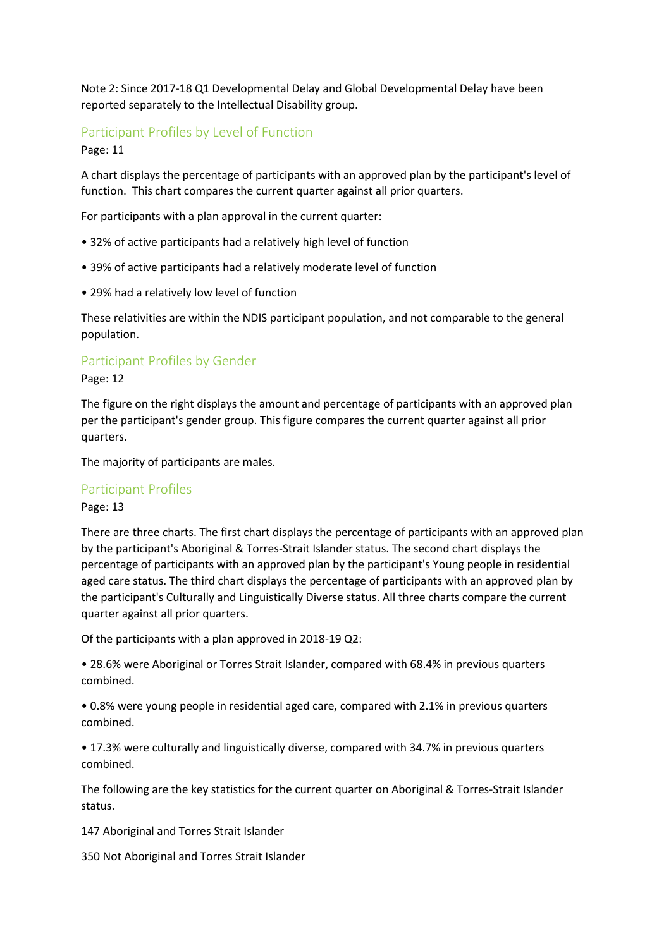Note 2: Since 2017-18 Q1 Developmental Delay and Global Developmental Delay have been reported separately to the Intellectual Disability group.

# Participant Profiles by Level of Function

Page: 11

A chart displays the percentage of participants with an approved plan by the participant's level of function. This chart compares the current quarter against all prior quarters.

For participants with a plan approval in the current quarter:

- 32% of active participants had a relatively high level of function
- 39% of active participants had a relatively moderate level of function
- 29% had a relatively low level of function

These relativities are within the NDIS participant population, and not comparable to the general population.

## Participant Profiles by Gender

Page: 12

The figure on the right displays the amount and percentage of participants with an approved plan per the participant's gender group. This figure compares the current quarter against all prior quarters.

The majority of participants are males.

### Participant Profiles

Page: 13

There are three charts. The first chart displays the percentage of participants with an approved plan by the participant's Aboriginal & Torres-Strait Islander status. The second chart displays the percentage of participants with an approved plan by the participant's Young people in residential aged care status. The third chart displays the percentage of participants with an approved plan by the participant's Culturally and Linguistically Diverse status. All three charts compare the current quarter against all prior quarters.

Of the participants with a plan approved in 2018-19 Q2:

• 28.6% were Aboriginal or Torres Strait Islander, compared with 68.4% in previous quarters combined.

• 0.8% were young people in residential aged care, compared with 2.1% in previous quarters combined.

• 17.3% were culturally and linguistically diverse, compared with 34.7% in previous quarters combined.

The following are the key statistics for the current quarter on Aboriginal & Torres-Strait Islander status.

147 Aboriginal and Torres Strait Islander

350 Not Aboriginal and Torres Strait Islander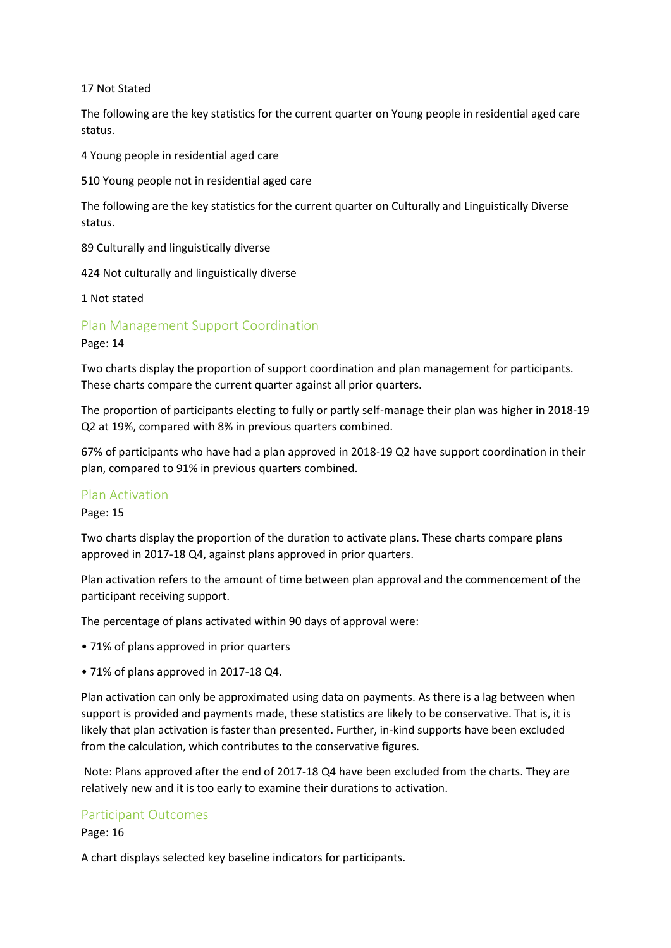### 17 Not Stated

The following are the key statistics for the current quarter on Young people in residential aged care status.

4 Young people in residential aged care

510 Young people not in residential aged care

The following are the key statistics for the current quarter on Culturally and Linguistically Diverse status.

89 Culturally and linguistically diverse

424 Not culturally and linguistically diverse

1 Not stated

Plan Management Support Coordination

Page: 14

Two charts display the proportion of support coordination and plan management for participants. These charts compare the current quarter against all prior quarters.

The proportion of participants electing to fully or partly self-manage their plan was higher in 2018-19 Q2 at 19%, compared with 8% in previous quarters combined.

67% of participants who have had a plan approved in 2018-19 Q2 have support coordination in their plan, compared to 91% in previous quarters combined.

### Plan Activation

Page: 15

Two charts display the proportion of the duration to activate plans. These charts compare plans approved in 2017-18 Q4, against plans approved in prior quarters.

Plan activation refers to the amount of time between plan approval and the commencement of the participant receiving support.

The percentage of plans activated within 90 days of approval were:

- 71% of plans approved in prior quarters
- 71% of plans approved in 2017-18 Q4.

Plan activation can only be approximated using data on payments. As there is a lag between when support is provided and payments made, these statistics are likely to be conservative. That is, it is likely that plan activation is faster than presented. Further, in-kind supports have been excluded from the calculation, which contributes to the conservative figures.

Note: Plans approved after the end of 2017-18 Q4 have been excluded from the charts. They are relatively new and it is too early to examine their durations to activation.

### Participant Outcomes

Page: 16

A chart displays selected key baseline indicators for participants.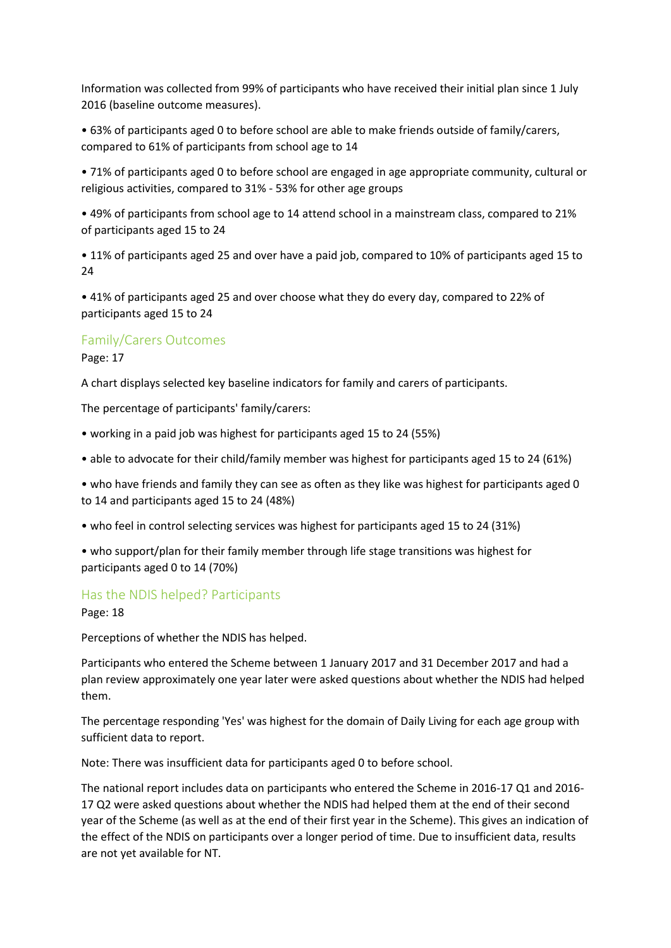Information was collected from 99% of participants who have received their initial plan since 1 July 2016 (baseline outcome measures).

• 63% of participants aged 0 to before school are able to make friends outside of family/carers, compared to 61% of participants from school age to 14

• 71% of participants aged 0 to before school are engaged in age appropriate community, cultural or religious activities, compared to 31% - 53% for other age groups

• 49% of participants from school age to 14 attend school in a mainstream class, compared to 21% of participants aged 15 to 24

• 11% of participants aged 25 and over have a paid job, compared to 10% of participants aged 15 to 24

• 41% of participants aged 25 and over choose what they do every day, compared to 22% of participants aged 15 to 24

### Family/Carers Outcomes

Page: 17

A chart displays selected key baseline indicators for family and carers of participants.

The percentage of participants' family/carers:

- working in a paid job was highest for participants aged 15 to 24 (55%)
- able to advocate for their child/family member was highest for participants aged 15 to 24 (61%)

• who have friends and family they can see as often as they like was highest for participants aged 0 to 14 and participants aged 15 to 24 (48%)

- who feel in control selecting services was highest for participants aged 15 to 24 (31%)
- who support/plan for their family member through life stage transitions was highest for participants aged 0 to 14 (70%)

### Has the NDIS helped? Participants

Page: 18

Perceptions of whether the NDIS has helped.

Participants who entered the Scheme between 1 January 2017 and 31 December 2017 and had a plan review approximately one year later were asked questions about whether the NDIS had helped them.

The percentage responding 'Yes' was highest for the domain of Daily Living for each age group with sufficient data to report.

Note: There was insufficient data for participants aged 0 to before school.

The national report includes data on participants who entered the Scheme in 2016-17 Q1 and 2016- 17 Q2 were asked questions about whether the NDIS had helped them at the end of their second year of the Scheme (as well as at the end of their first year in the Scheme). This gives an indication of the effect of the NDIS on participants over a longer period of time. Due to insufficient data, results are not yet available for NT.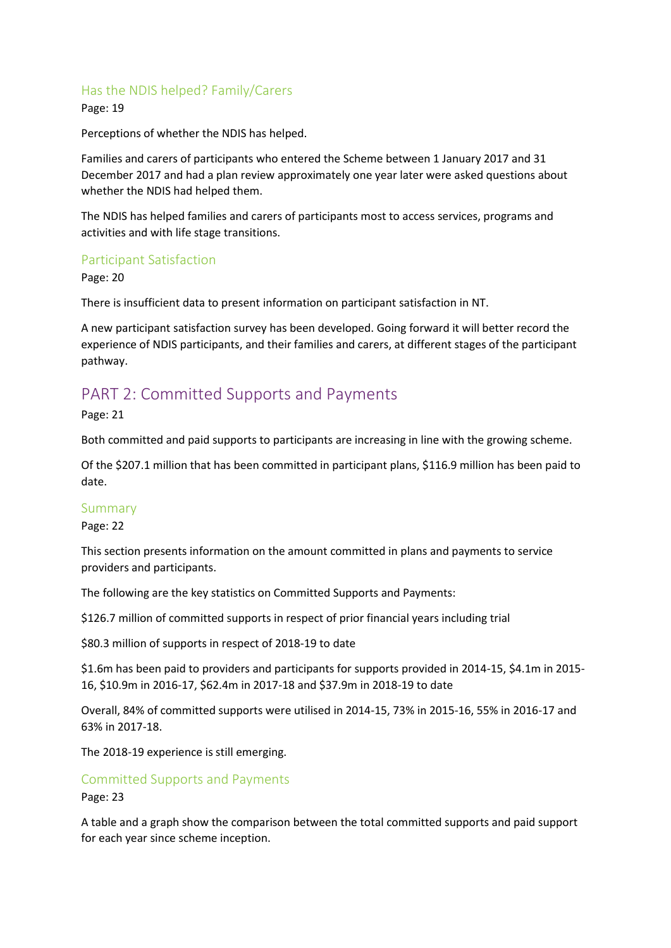# Has the NDIS helped? Family/Carers

Page: 19

Perceptions of whether the NDIS has helped.

Families and carers of participants who entered the Scheme between 1 January 2017 and 31 December 2017 and had a plan review approximately one year later were asked questions about whether the NDIS had helped them.

The NDIS has helped families and carers of participants most to access services, programs and activities and with life stage transitions.

## Participant Satisfaction

Page: 20

There is insufficient data to present information on participant satisfaction in NT.

A new participant satisfaction survey has been developed. Going forward it will better record the experience of NDIS participants, and their families and carers, at different stages of the participant pathway.

# PART 2: Committed Supports and Payments

Page: 21

Both committed and paid supports to participants are increasing in line with the growing scheme.

Of the \$207.1 million that has been committed in participant plans, \$116.9 million has been paid to date.

### Summary

Page: 22

This section presents information on the amount committed in plans and payments to service providers and participants.

The following are the key statistics on Committed Supports and Payments:

\$126.7 million of committed supports in respect of prior financial years including trial

\$80.3 million of supports in respect of 2018-19 to date

\$1.6m has been paid to providers and participants for supports provided in 2014-15, \$4.1m in 2015- 16, \$10.9m in 2016-17, \$62.4m in 2017-18 and \$37.9m in 2018-19 to date

Overall, 84% of committed supports were utilised in 2014-15, 73% in 2015-16, 55% in 2016-17 and 63% in 2017-18.

The 2018-19 experience is still emerging.

Committed Supports and Payments Page: 23

A table and a graph show the comparison between the total committed supports and paid support for each year since scheme inception.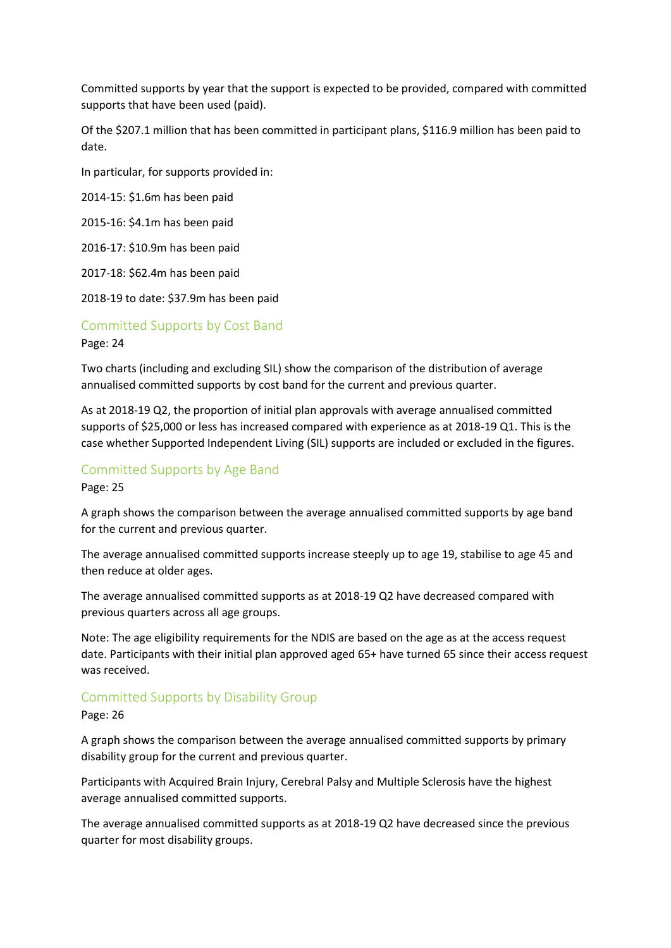Committed supports by year that the support is expected to be provided, compared with committed supports that have been used (paid).

Of the \$207.1 million that has been committed in participant plans, \$116.9 million has been paid to date.

In particular, for supports provided in:

2014-15: \$1.6m has been paid

2015-16: \$4.1m has been paid

2016-17: \$10.9m has been paid

2017-18: \$62.4m has been paid

2018-19 to date: \$37.9m has been paid

Committed Supports by Cost Band

Page: 24

Two charts (including and excluding SIL) show the comparison of the distribution of average annualised committed supports by cost band for the current and previous quarter.

As at 2018-19 Q2, the proportion of initial plan approvals with average annualised committed supports of \$25,000 or less has increased compared with experience as at 2018-19 Q1. This is the case whether Supported Independent Living (SIL) supports are included or excluded in the figures.

# Committed Supports by Age Band

Page: 25

A graph shows the comparison between the average annualised committed supports by age band for the current and previous quarter.

The average annualised committed supports increase steeply up to age 19, stabilise to age 45 and then reduce at older ages.

The average annualised committed supports as at 2018-19 Q2 have decreased compared with previous quarters across all age groups.

Note: The age eligibility requirements for the NDIS are based on the age as at the access request date. Participants with their initial plan approved aged 65+ have turned 65 since their access request was received.

# Committed Supports by Disability Group

Page: 26

A graph shows the comparison between the average annualised committed supports by primary disability group for the current and previous quarter.

Participants with Acquired Brain Injury, Cerebral Palsy and Multiple Sclerosis have the highest average annualised committed supports.

The average annualised committed supports as at 2018-19 Q2 have decreased since the previous quarter for most disability groups.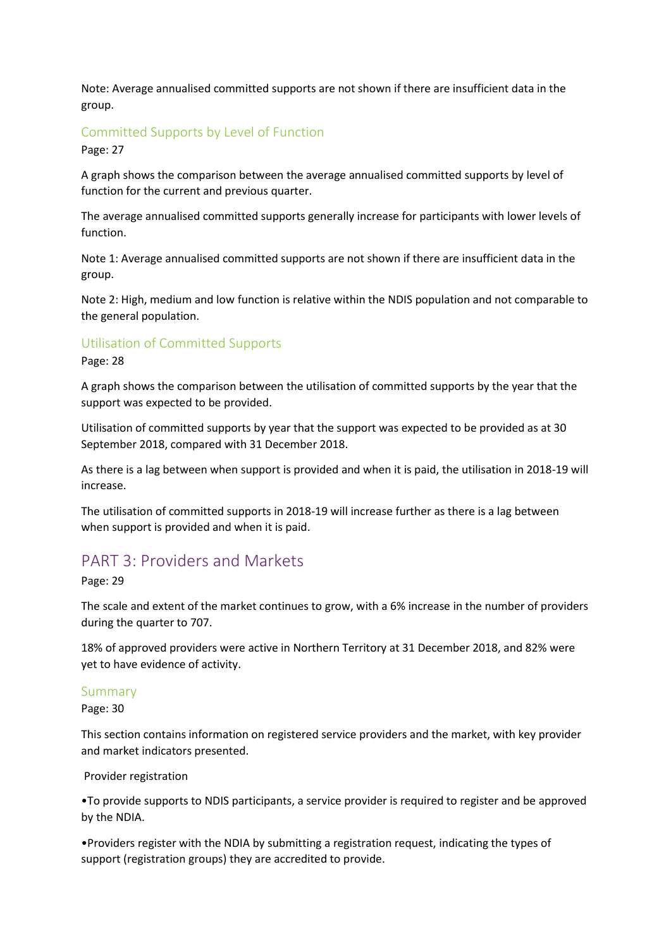Note: Average annualised committed supports are not shown if there are insufficient data in the group.

# Committed Supports by Level of Function

Page: 27

A graph shows the comparison between the average annualised committed supports by level of function for the current and previous quarter.

The average annualised committed supports generally increase for participants with lower levels of function.

Note 1: Average annualised committed supports are not shown if there are insufficient data in the group.

Note 2: High, medium and low function is relative within the NDIS population and not comparable to the general population.

## Utilisation of Committed Supports

Page: 28

A graph shows the comparison between the utilisation of committed supports by the year that the support was expected to be provided.

Utilisation of committed supports by year that the support was expected to be provided as at 30 September 2018, compared with 31 December 2018.

As there is a lag between when support is provided and when it is paid, the utilisation in 2018-19 will increase.

The utilisation of committed supports in 2018-19 will increase further as there is a lag between when support is provided and when it is paid.

# PART 3: Providers and Markets

Page: 29

The scale and extent of the market continues to grow, with a 6% increase in the number of providers during the quarter to 707.

18% of approved providers were active in Northern Territory at 31 December 2018, and 82% were yet to have evidence of activity.

### Summary

Page: 30

This section contains information on registered service providers and the market, with key provider and market indicators presented.

#### Provider registration

•To provide supports to NDIS participants, a service provider is required to register and be approved by the NDIA.

•Providers register with the NDIA by submitting a registration request, indicating the types of support (registration groups) they are accredited to provide.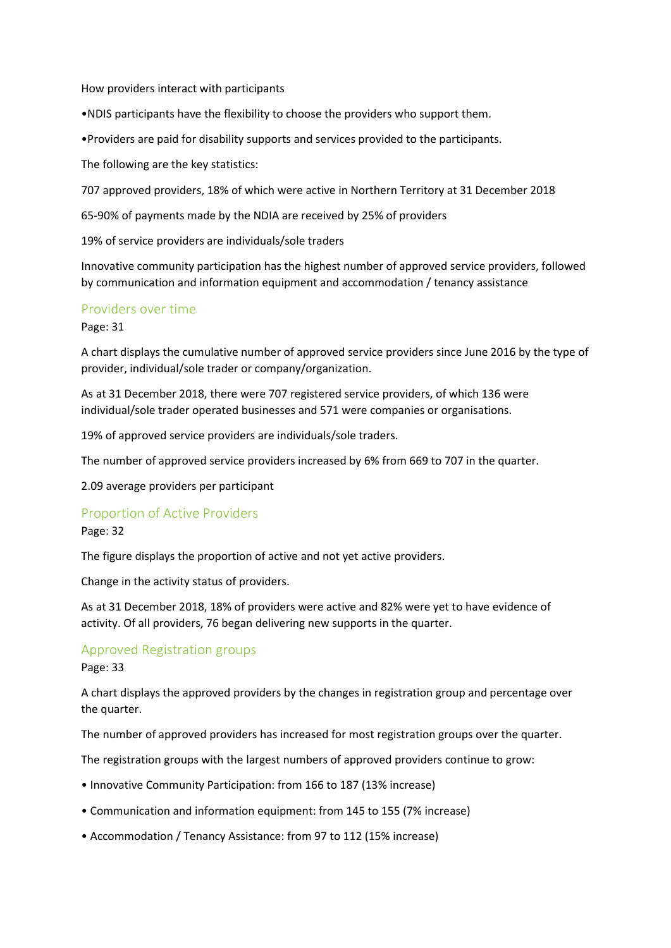How providers interact with participants

•NDIS participants have the flexibility to choose the providers who support them.

•Providers are paid for disability supports and services provided to the participants.

The following are the key statistics:

707 approved providers, 18% of which were active in Northern Territory at 31 December 2018

65-90% of payments made by the NDIA are received by 25% of providers

19% of service providers are individuals/sole traders

Innovative community participation has the highest number of approved service providers, followed by communication and information equipment and accommodation / tenancy assistance

### Providers over time

Page: 31

A chart displays the cumulative number of approved service providers since June 2016 by the type of provider, individual/sole trader or company/organization.

As at 31 December 2018, there were 707 registered service providers, of which 136 were individual/sole trader operated businesses and 571 were companies or organisations.

19% of approved service providers are individuals/sole traders.

The number of approved service providers increased by 6% from 669 to 707 in the quarter.

2.09 average providers per participant

### Proportion of Active Providers

### Page: 32

The figure displays the proportion of active and not yet active providers.

Change in the activity status of providers.

As at 31 December 2018, 18% of providers were active and 82% were yet to have evidence of activity. Of all providers, 76 began delivering new supports in the quarter.

### Approved Registration groups

### Page: 33

A chart displays the approved providers by the changes in registration group and percentage over the quarter.

The number of approved providers has increased for most registration groups over the quarter.

The registration groups with the largest numbers of approved providers continue to grow:

- Innovative Community Participation: from 166 to 187 (13% increase)
- Communication and information equipment: from 145 to 155 (7% increase)
- Accommodation / Tenancy Assistance: from 97 to 112 (15% increase)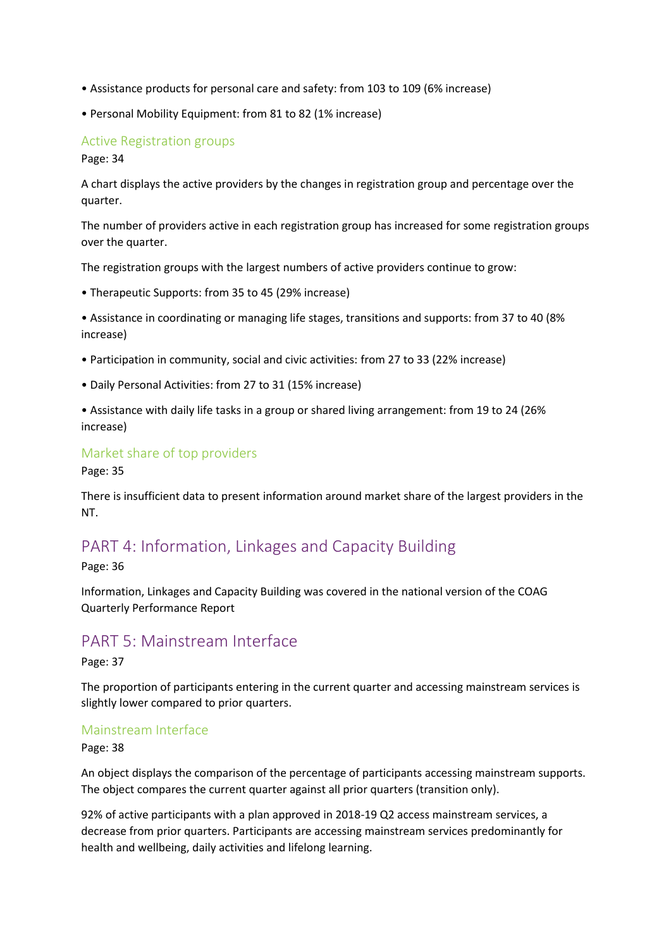- Assistance products for personal care and safety: from 103 to 109 (6% increase)
- Personal Mobility Equipment: from 81 to 82 (1% increase)

## Active Registration groups

Page: 34

A chart displays the active providers by the changes in registration group and percentage over the quarter.

The number of providers active in each registration group has increased for some registration groups over the quarter.

The registration groups with the largest numbers of active providers continue to grow:

• Therapeutic Supports: from 35 to 45 (29% increase)

• Assistance in coordinating or managing life stages, transitions and supports: from 37 to 40 (8% increase)

- Participation in community, social and civic activities: from 27 to 33 (22% increase)
- Daily Personal Activities: from 27 to 31 (15% increase)
- Assistance with daily life tasks in a group or shared living arrangement: from 19 to 24 (26% increase)

## Market share of top providers

Page: 35

There is insufficient data to present information around market share of the largest providers in the NT.

# PART 4: Information, Linkages and Capacity Building

Page: 36

Information, Linkages and Capacity Building was covered in the national version of the COAG Quarterly Performance Report

# PART 5: Mainstream Interface

Page: 37

The proportion of participants entering in the current quarter and accessing mainstream services is slightly lower compared to prior quarters.

### Mainstream Interface

Page: 38

An object displays the comparison of the percentage of participants accessing mainstream supports. The object compares the current quarter against all prior quarters (transition only).

92% of active participants with a plan approved in 2018-19 Q2 access mainstream services, a decrease from prior quarters. Participants are accessing mainstream services predominantly for health and wellbeing, daily activities and lifelong learning.